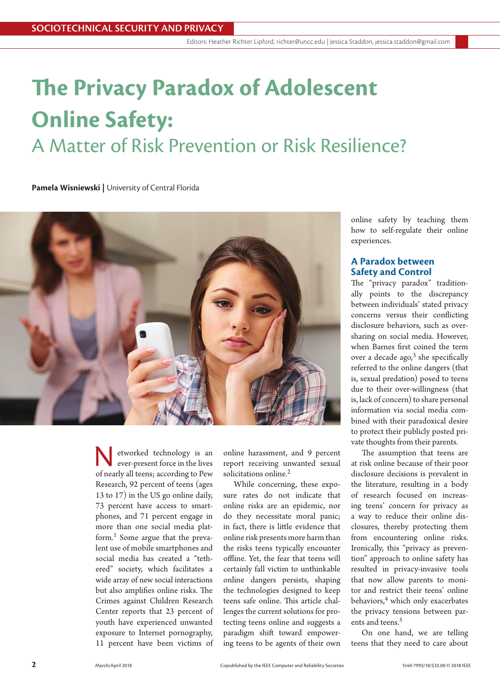# **The Privacy Paradox of Adolescent Online Safety:** A Matter of Risk Prevention or Risk Resilience?

**Pamela Wisniewski |** University of Central Florida



etworked technology is an ever-present force in the lives of nearly all teens; according to Pew Research, 92 percent of teens (ages 13 to 17) in the US go online daily, 73 percent have access to smartphones, and 71 percent engage in more than one social media platform.<sup>1</sup> Some argue that the prevalent use of mobile smartphones and social media has created a "tethered" society, which facilitates a wide array of new social interactions but also amplifies online risks. The Crimes against Children Research Center reports that 23 percent of youth have experienced unwanted exposure to Internet pornography, 11 percent have been victims of

online harassment, and 9 percent report receiving unwanted sexual solicitations online. $2$ 

While concerning, these exposure rates do not indicate that online risks are an epidemic, nor do they necessitate moral panic; in fact, there is little evidence that online risk presents more harm than the risks teens typically encounter offline. Yet, the fear that teens will certainly fall victim to unthinkable online dangers persists, shaping the technologies designed to keep teens safe online. This article challenges the current solutions for protecting teens online and suggests a paradigm shift toward empowering teens to be agents of their own online safety by teaching them how to self-regulate their online experiences.

# **A Paradox between Safety and Control**

The "privacy paradox" traditionally points to the discrepancy between individuals' stated privacy concerns versus their conflicting disclosure behaviors, such as oversharing on social media. However, when Barnes first coined the term over a decade ago, $3$  she specifically referred to the online dangers (that is, sexual predation) posed to teens due to their over-willingness (that is, lack of concern) to share personal information via social media combined with their paradoxical desire to protect their publicly posted private thoughts from their parents.

The assumption that teens are at risk online because of their poor disclosure decisions is prevalent in the literature, resulting in a body of research focused on increasing teens' concern for privacy as a way to reduce their online disclosures, thereby protecting them from encountering online risks. Ironically, this "privacy as prevention" approach to online safety has resulted in privacy-invasive tools that now allow parents to monitor and restrict their teens' online behaviors,<sup>4</sup> which only exacerbates the privacy tensions between parents and teens.<sup>5</sup>

On one hand, we are telling teens that they need to care about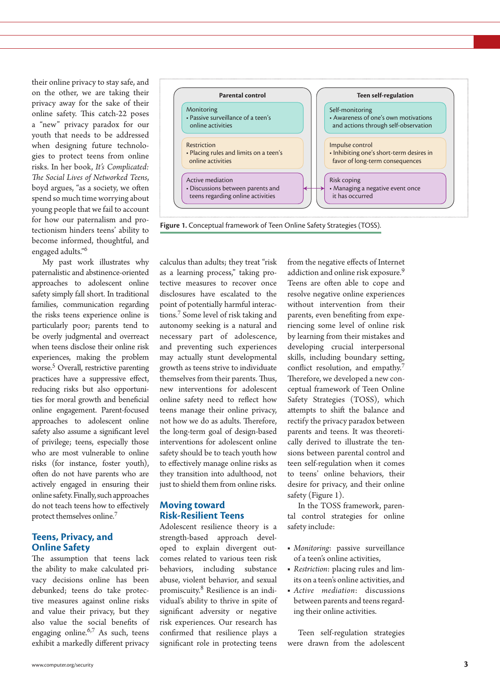their online privacy to stay safe, and on the other, we are taking their privacy away for the sake of their online safety. This catch-22 poses a "new" privacy paradox for our youth that needs to be addressed when designing future technologies to protect teens from online risks. In her book, *It's Complicated: The Social Lives of Networked Teens*, boyd argues, "as a society, we often spend so much time worrying about young people that we fail to account for how our paternalism and protectionism hinders teens' ability to become informed, thoughtful, and engaged adults."6

My past work illustrates why paternalistic and abstinence-oriented approaches to adolescent online safety simply fall short. In traditional families, communication regarding the risks teens experience online is particularly poor; parents tend to be overly judgmental and overreact when teens disclose their online risk experiences, making the problem worse.<sup>5</sup> Overall, restrictive parenting practices have a suppressive effect, reducing risks but also opportunities for moral growth and beneficial online engagement. Parent-focused approaches to adolescent online safety also assume a significant level of privilege; teens, especially those who are most vulnerable to online risks (for instance, foster youth), often do not have parents who are actively engaged in ensuring their online safety. Finally, such approaches do not teach teens how to effectively protect themselves online.<sup>7</sup>

## **Teens, Privacy, and Online Safety**

The assumption that teens lack the ability to make calculated privacy decisions online has been debunked; teens do take protective measures against online risks and value their privacy, but they also value the social benefits of engaging online.6,7 As such, teens exhibit a markedly different privacy



**Figure 1.** Conceptual framework of Teen Online Safety Strategies (TOSS).

calculus than adults; they treat "risk as a learning process," taking protective measures to recover once disclosures have escalated to the point of potentially harmful interactions.7 Some level of risk taking and autonomy seeking is a natural and necessary part of adolescence, and preventing such experiences may actually stunt developmental growth as teens strive to individuate themselves from their parents. Thus, new interventions for adolescent online safety need to reflect how teens manage their online privacy, not how we do as adults. Therefore, the long-term goal of design-based interventions for adolescent online safety should be to teach youth how to effectively manage online risks as they transition into adulthood, not just to shield them from online risks.

# **Moving toward Risk-Resilient Teens**

Adolescent resilience theory is a strength-based approach developed to explain divergent outcomes related to various teen risk behaviors, including substance abuse, violent behavior, and sexual promiscuity.8 Resilience is an individual's ability to thrive in spite of significant adversity or negative risk experiences. Our research has confirmed that resilience plays a significant role in protecting teens

from the negative effects of Internet addiction and online risk exposure.<sup>9</sup> Teens are often able to cope and resolve negative online experiences without intervention from their parents, even benefiting from experiencing some level of online risk by learning from their mistakes and developing crucial interpersonal skills, including boundary setting, conflict resolution, and empathy.<sup>7</sup> Therefore, we developed a new conceptual framework of Teen Online Safety Strategies (TOSS), which attempts to shift the balance and rectify the privacy paradox between parents and teens. It was theoretically derived to illustrate the tensions between parental control and teen self-regulation when it comes to teens' online behaviors, their desire for privacy, and their online safety (Figure 1).

In the TOSS framework, parental control strategies for online safety include:

- *Monitoring*: passive surveillance of a teen's online activities,
- *Restriction*: placing rules and limits on a teen's online activities, and
- *Active mediation*: discussions between parents and teens regarding their online activities.

Teen self-regulation strategies were drawn from the adolescent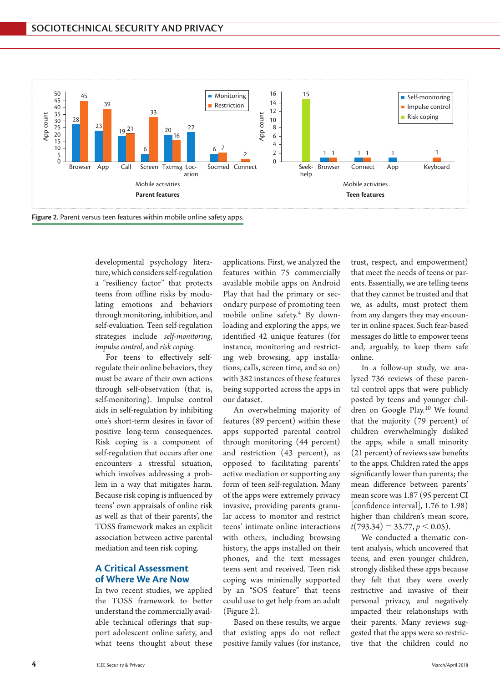

developmental psychology literature, which considers self-regulation a "resiliency factor" that protects teens from offline risks by modulating emotions and behaviors through monitoring, inhibition, and self-evaluation. Teen self-regulation strategies include *self-monitoring*, *impulse control*, and *risk coping*.

For teens to effectively selfregulate their online behaviors, they must be aware of their own actions through self-observation (that is, self-monitoring). Impulse control aids in self-regulation by inhibiting one's short-term desires in favor of positive long-term consequences. Risk coping is a component of self-regulation that occurs after one encounters a stressful situation, which involves addressing a problem in a way that mitigates harm. Because risk coping is influenced by teens' own appraisals of online risk as well as that of their parents', the TOSS framework makes an explicit association between active parental mediation and teen risk coping.

## **A Critical Assessment of Where We Are Now**

In two recent studies, we applied the TOSS framework to better understand the commercially available technical offerings that support adolescent online safety, and what teens thought about these

applications. First, we analyzed the features within 75 commercially available mobile apps on Android Play that had the primary or secondary purpose of promoting teen mobile online safety.4 By downloading and exploring the apps, we identified 42 unique features (for instance, monitoring and restricting web browsing, app installations, calls, screen time, and so on) with 382 instances of these features being supported across the apps in our dataset.

An overwhelming majority of features (89 percent) within these apps supported parental control through monitoring (44 percent) and restriction (43 percent), as opposed to facilitating parents' active mediation or supporting any form of teen self-regulation. Many of the apps were extremely privacy invasive, providing parents granular access to monitor and restrict teens' intimate online interactions with others, including browsing history, the apps installed on their phones, and the text messages teens sent and received. Teen risk coping was minimally supported by an "SOS feature" that teens could use to get help from an adult (Figure 2).

Based on these results, we argue that existing apps do not reflect positive family values (for instance,

trust, respect, and empowerment) that meet the needs of teens or parents. Essentially, we are telling teens that they cannot be trusted and that we, as adults, must protect them from any dangers they may encounter in online spaces. Such fear-based messages do little to empower teens and, arguably, to keep them safe online.

In a follow-up study, we analyzed 736 reviews of these parental control apps that were publicly posted by teens and younger children on Google Play.<sup>10</sup> We found that the majority (79 percent) of children overwhelmingly disliked the apps, while a small minority (21 percent) of reviews saw benefits to the apps. Children rated the apps significantly lower than parents; the mean difference between parents' mean score was 1.87 (95 percent CI [confidence interval], 1.76 to 1.98) higher than children's mean score,  $t(793.34) = 33.77, p < 0.05$ .

We conducted a thematic content analysis, which uncovered that teens, and even younger children, strongly disliked these apps because they felt that they were overly restrictive and invasive of their personal privacy, and negatively impacted their relationships with their parents. Many reviews suggested that the apps were so restrictive that the children could no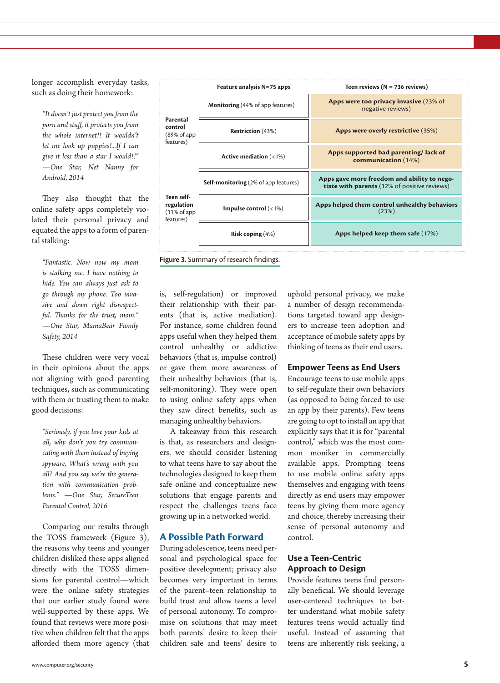longer accomplish everyday tasks, such as doing their homework:

*"It doesn't just protect you from the porn and stuff, it protects you from the whole internet!! It wouldn't let me look up puppies!...If I can give it less than a star I would!!" —One Star, Net Nanny for Android, 2014*

They also thought that the online safety apps completely violated their personal privacy and equated the apps to a form of parental stalking:

*"Fantastic. Now now my mom is stalking me. I have nothing to hide. You can always just ask to go through my phone. Too invasive and down right disrespectful. Thanks for the trust, mom." —One Star, MamaBear Family Safety, 2014*

These children were very vocal in their opinions about the apps not aligning with good parenting techniques, such as communicating with them or trusting them to make good decisions:

*"Seriously, if you love your kids at all, why don't you try communicating with them instead of buying spyware. What's wrong with you all? And you say we're the generation with communication problems." —One Star, SecureTeen Parental Control, 2016*

Comparing our results through the TOSS framework (Figure 3), the reasons why teens and younger children disliked these apps aligned directly with the TOSS dimensions for parental control—which were the online safety strategies that our earlier study found were well-supported by these apps. We found that reviews were more positive when children felt that the apps afforded them more agency (that



**Figure 3.** Summary of research findings.

is, self-regulation) or improved their relationship with their parents (that is, active mediation). For instance, some children found apps useful when they helped them control unhealthy or addictive behaviors (that is, impulse control) or gave them more awareness of their unhealthy behaviors (that is, self-monitoring). They were open to using online safety apps when they saw direct benefits, such as managing unhealthy behaviors.

A takeaway from this research is that, as researchers and designers, we should consider listening to what teens have to say about the technologies designed to keep them safe online and conceptualize new solutions that engage parents and respect the challenges teens face growing up in a networked world.

#### **A Possible Path Forward**

During adolescence, teens need personal and psychological space for positive development; privacy also becomes very important in terms of the parent–teen relationship to build trust and allow teens a level of personal autonomy. To compromise on solutions that may meet both parents' desire to keep their children safe and teens' desire to

uphold personal privacy, we make a number of design recommendations targeted toward app designers to increase teen adoption and acceptance of mobile safety apps by thinking of teens as their end users.

#### **Empower Teens as End Users**

Encourage teens to use mobile apps to self-regulate their own behaviors (as opposed to being forced to use an app by their parents). Few teens are going to opt to install an app that explicitly says that it is for "parental control," which was the most common moniker in commercially available apps. Prompting teens to use mobile online safety apps themselves and engaging with teens directly as end users may empower teens by giving them more agency and choice, thereby increasing their sense of personal autonomy and control.

## **Use a Teen-Centric Approach to Design**

Provide features teens find personally beneficial. We should leverage user-centered techniques to better understand what mobile safety features teens would actually find useful. Instead of assuming that teens are inherently risk seeking, a